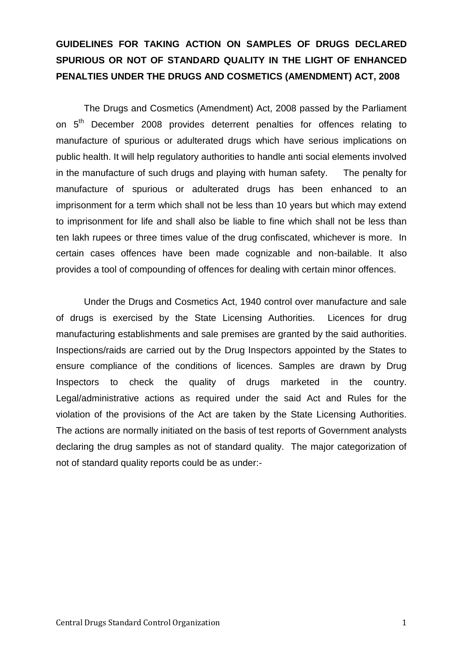# **GUIDELINES FOR TAKING ACTION ON SAMPLES OF DRUGS DECLARED SPURIOUS OR NOT OF STANDARD QUALITY IN THE LIGHT OF ENHANCED PENALTIES UNDER THE DRUGS AND COSMETICS (AMENDMENT) ACT, 2008**

The Drugs and Cosmetics (Amendment) Act, 2008 passed by the Parliament on 5<sup>th</sup> December 2008 provides deterrent penalties for offences relating to manufacture of spurious or adulterated drugs which have serious implications on public health. It will help regulatory authorities to handle anti social elements involved in the manufacture of such drugs and playing with human safety. The penalty for manufacture of spurious or adulterated drugs has been enhanced to an imprisonment for a term which shall not be less than 10 years but which may extend to imprisonment for life and shall also be liable to fine which shall not be less than ten lakh rupees or three times value of the drug confiscated, whichever is more. In certain cases offences have been made cognizable and non-bailable. It also provides a tool of compounding of offences for dealing with certain minor offences.

Under the Drugs and Cosmetics Act, 1940 control over manufacture and sale of drugs is exercised by the State Licensing Authorities. Licences for drug manufacturing establishments and sale premises are granted by the said authorities. Inspections/raids are carried out by the Drug Inspectors appointed by the States to ensure compliance of the conditions of licences. Samples are drawn by Drug Inspectors to check the quality of drugs marketed in the country. Legal/administrative actions as required under the said Act and Rules for the violation of the provisions of the Act are taken by the State Licensing Authorities. The actions are normally initiated on the basis of test reports of Government analysts declaring the drug samples as not of standard quality. The major categorization of not of standard quality reports could be as under:-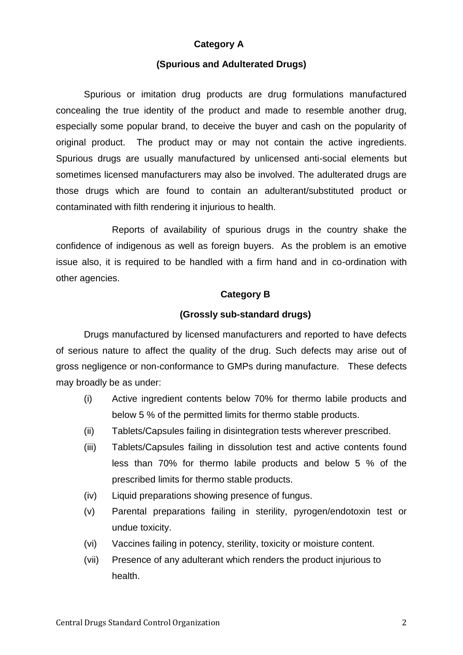### **Category A**

#### **(Spurious and Adulterated Drugs)**

Spurious or imitation drug products are drug formulations manufactured concealing the true identity of the product and made to resemble another drug, especially some popular brand, to deceive the buyer and cash on the popularity of original product. The product may or may not contain the active ingredients. Spurious drugs are usually manufactured by unlicensed anti-social elements but sometimes licensed manufacturers may also be involved. The adulterated drugs are those drugs which are found to contain an adulterant/substituted product or contaminated with filth rendering it injurious to health.

Reports of availability of spurious drugs in the country shake the confidence of indigenous as well as foreign buyers. As the problem is an emotive issue also, it is required to be handled with a firm hand and in co-ordination with other agencies.

#### **Category B**

#### **(Grossly sub-standard drugs)**

Drugs manufactured by licensed manufacturers and reported to have defects of serious nature to affect the quality of the drug. Such defects may arise out of gross negligence or non-conformance to GMPs during manufacture. These defects may broadly be as under:

- (i) Active ingredient contents below 70% for thermo labile products and below 5 % of the permitted limits for thermo stable products.
- (ii) Tablets/Capsules failing in disintegration tests wherever prescribed.
- (iii) Tablets/Capsules failing in dissolution test and active contents found less than 70% for thermo labile products and below 5 % of the prescribed limits for thermo stable products.
- (iv) Liquid preparations showing presence of fungus.
- (v) Parental preparations failing in sterility, pyrogen/endotoxin test or undue toxicity.
- (vi) Vaccines failing in potency, sterility, toxicity or moisture content.
- (vii) Presence of any adulterant which renders the product injurious to health.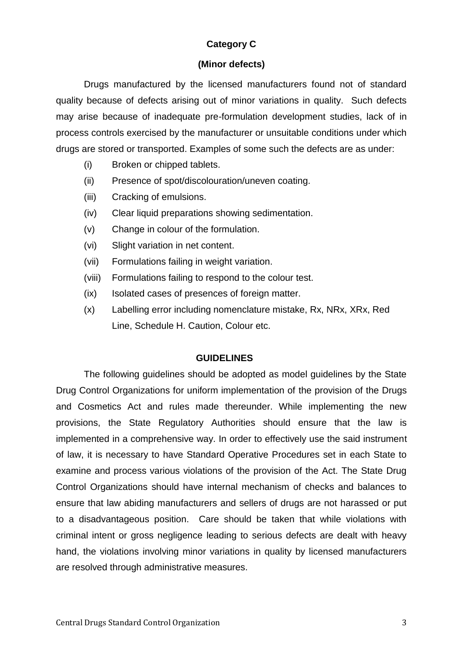# **Category C**

#### **(Minor defects)**

Drugs manufactured by the licensed manufacturers found not of standard quality because of defects arising out of minor variations in quality. Such defects may arise because of inadequate pre-formulation development studies, lack of in process controls exercised by the manufacturer or unsuitable conditions under which drugs are stored or transported. Examples of some such the defects are as under:

- (i) Broken or chipped tablets.
- (ii) Presence of spot/discolouration/uneven coating.
- (iii) Cracking of emulsions.
- (iv) Clear liquid preparations showing sedimentation.
- (v) Change in colour of the formulation.
- (vi) Slight variation in net content.
- (vii) Formulations failing in weight variation.
- (viii) Formulations failing to respond to the colour test.
- (ix) Isolated cases of presences of foreign matter.
- (x) Labelling error including nomenclature mistake, Rx, NRx, XRx, Red Line, Schedule H. Caution, Colour etc.

### **GUIDELINES**

The following guidelines should be adopted as model guidelines by the State Drug Control Organizations for uniform implementation of the provision of the Drugs and Cosmetics Act and rules made thereunder. While implementing the new provisions, the State Regulatory Authorities should ensure that the law is implemented in a comprehensive way. In order to effectively use the said instrument of law, it is necessary to have Standard Operative Procedures set in each State to examine and process various violations of the provision of the Act. The State Drug Control Organizations should have internal mechanism of checks and balances to ensure that law abiding manufacturers and sellers of drugs are not harassed or put to a disadvantageous position. Care should be taken that while violations with criminal intent or gross negligence leading to serious defects are dealt with heavy hand, the violations involving minor variations in quality by licensed manufacturers are resolved through administrative measures.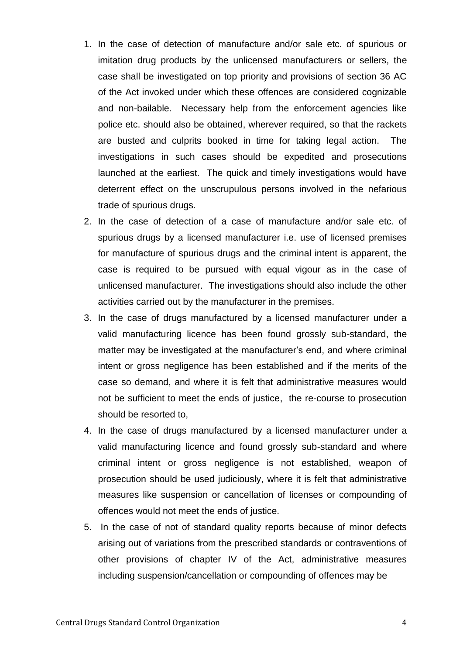- 1. In the case of detection of manufacture and/or sale etc. of spurious or imitation drug products by the unlicensed manufacturers or sellers, the case shall be investigated on top priority and provisions of section 36 AC of the Act invoked under which these offences are considered cognizable and non-bailable. Necessary help from the enforcement agencies like police etc. should also be obtained, wherever required, so that the rackets are busted and culprits booked in time for taking legal action. The investigations in such cases should be expedited and prosecutions launched at the earliest. The quick and timely investigations would have deterrent effect on the unscrupulous persons involved in the nefarious trade of spurious drugs.
- 2. In the case of detection of a case of manufacture and/or sale etc. of spurious drugs by a licensed manufacturer i.e. use of licensed premises for manufacture of spurious drugs and the criminal intent is apparent, the case is required to be pursued with equal vigour as in the case of unlicensed manufacturer. The investigations should also include the other activities carried out by the manufacturer in the premises.
- 3. In the case of drugs manufactured by a licensed manufacturer under a valid manufacturing licence has been found grossly sub-standard, the matter may be investigated at the manufacturer's end, and where criminal intent or gross negligence has been established and if the merits of the case so demand, and where it is felt that administrative measures would not be sufficient to meet the ends of justice, the re-course to prosecution should be resorted to,
- 4. In the case of drugs manufactured by a licensed manufacturer under a valid manufacturing licence and found grossly sub-standard and where criminal intent or gross negligence is not established, weapon of prosecution should be used judiciously, where it is felt that administrative measures like suspension or cancellation of licenses or compounding of offences would not meet the ends of justice.
- 5. In the case of not of standard quality reports because of minor defects arising out of variations from the prescribed standards or contraventions of other provisions of chapter IV of the Act, administrative measures including suspension/cancellation or compounding of offences may be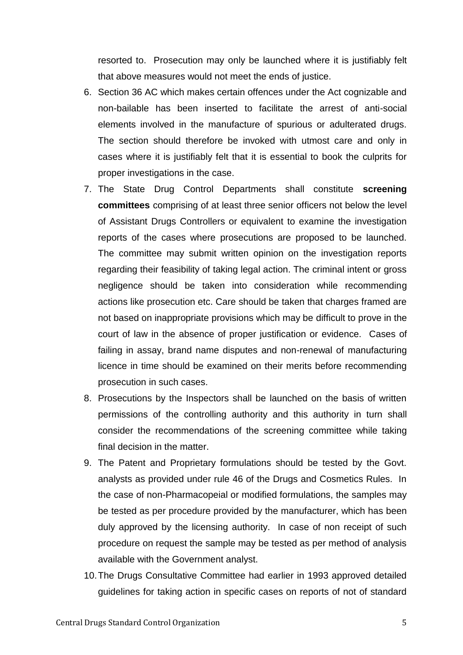resorted to. Prosecution may only be launched where it is justifiably felt that above measures would not meet the ends of justice.

- 6. Section 36 AC which makes certain offences under the Act cognizable and non-bailable has been inserted to facilitate the arrest of anti-social elements involved in the manufacture of spurious or adulterated drugs. The section should therefore be invoked with utmost care and only in cases where it is justifiably felt that it is essential to book the culprits for proper investigations in the case.
- 7. The State Drug Control Departments shall constitute **screening committees** comprising of at least three senior officers not below the level of Assistant Drugs Controllers or equivalent to examine the investigation reports of the cases where prosecutions are proposed to be launched. The committee may submit written opinion on the investigation reports regarding their feasibility of taking legal action. The criminal intent or gross negligence should be taken into consideration while recommending actions like prosecution etc. Care should be taken that charges framed are not based on inappropriate provisions which may be difficult to prove in the court of law in the absence of proper justification or evidence. Cases of failing in assay, brand name disputes and non-renewal of manufacturing licence in time should be examined on their merits before recommending prosecution in such cases.
- 8. Prosecutions by the Inspectors shall be launched on the basis of written permissions of the controlling authority and this authority in turn shall consider the recommendations of the screening committee while taking final decision in the matter.
- 9. The Patent and Proprietary formulations should be tested by the Govt. analysts as provided under rule 46 of the Drugs and Cosmetics Rules. In the case of non-Pharmacopeial or modified formulations, the samples may be tested as per procedure provided by the manufacturer, which has been duly approved by the licensing authority. In case of non receipt of such procedure on request the sample may be tested as per method of analysis available with the Government analyst.
- 10.The Drugs Consultative Committee had earlier in 1993 approved detailed guidelines for taking action in specific cases on reports of not of standard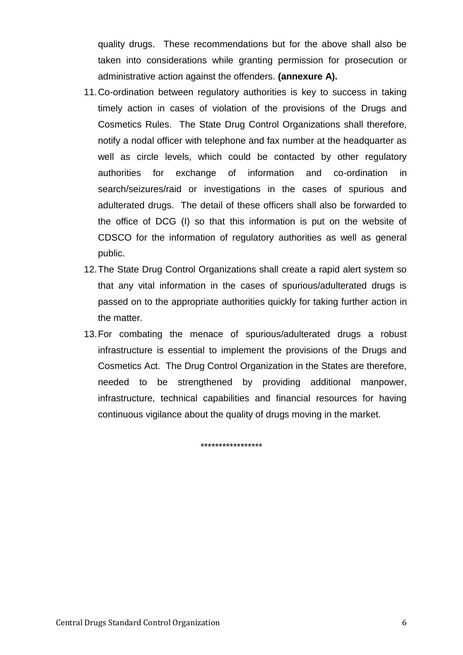quality drugs. These recommendations but for the above shall also be taken into considerations while granting permission for prosecution or administrative action against the offenders. **(annexure A).**

- 11.Co-ordination between regulatory authorities is key to success in taking timely action in cases of violation of the provisions of the Drugs and Cosmetics Rules. The State Drug Control Organizations shall therefore, notify a nodal officer with telephone and fax number at the headquarter as well as circle levels, which could be contacted by other regulatory authorities for exchange of information and co-ordination in search/seizures/raid or investigations in the cases of spurious and adulterated drugs. The detail of these officers shall also be forwarded to the office of DCG (I) so that this information is put on the website of CDSCO for the information of regulatory authorities as well as general public.
- 12.The State Drug Control Organizations shall create a rapid alert system so that any vital information in the cases of spurious/adulterated drugs is passed on to the appropriate authorities quickly for taking further action in the matter.
- 13.For combating the menace of spurious/adulterated drugs a robust infrastructure is essential to implement the provisions of the Drugs and Cosmetics Act. The Drug Control Organization in the States are therefore, needed to be strengthened by providing additional manpower, infrastructure, technical capabilities and financial resources for having continuous vigilance about the quality of drugs moving in the market.

\*\*\*\*\*\*\*\*\*\*\*\*\*\*\*\*\*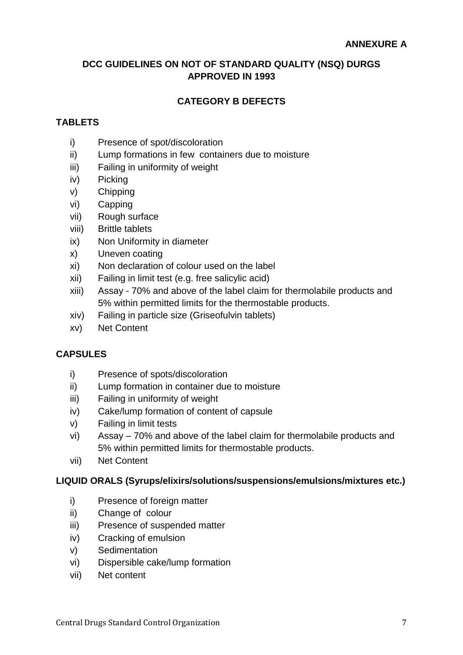### **DCC GUIDELINES ON NOT OF STANDARD QUALITY (NSQ) DURGS APPROVED IN 1993**

# **CATEGORY B DEFECTS**

#### **TABLETS**

- i) Presence of spot/discoloration
- ii) Lump formations in few containers due to moisture
- iii) Failing in uniformity of weight
- iv) Picking
- v) Chipping
- vi) Capping
- vii) Rough surface
- viii) Brittle tablets
- ix) Non Uniformity in diameter
- x) Uneven coating
- xi) Non declaration of colour used on the label
- xii) Failing in limit test (e.g. free salicylic acid)
- xiii) Assay 70% and above of the label claim for thermolabile products and 5% within permitted limits for the thermostable products.
- xiv) Failing in particle size (Griseofulvin tablets)
- xv) Net Content

### **CAPSULES**

- i) Presence of spots/discoloration
- ii) Lump formation in container due to moisture
- iii) Failing in uniformity of weight
- iv) Cake/lump formation of content of capsule
- v) Failing in limit tests
- vi) Assay 70% and above of the label claim for thermolabile products and 5% within permitted limits for thermostable products.
- vii) Net Content

### **LIQUID ORALS (Syrups/elixirs/solutions/suspensions/emulsions/mixtures etc.)**

- i) Presence of foreign matter
- ii) Change of colour
- iii) Presence of suspended matter
- iv) Cracking of emulsion
- v) Sedimentation
- vi) Dispersible cake/lump formation
- vii) Net content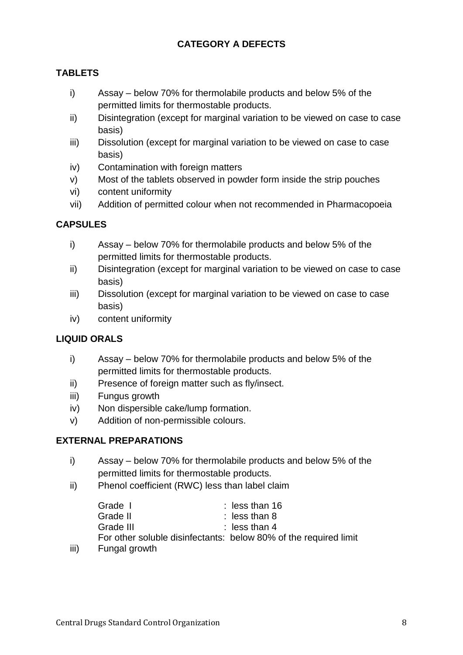# **CATEGORY A DEFECTS**

# **TABLETS**

- i) Assay below 70% for thermolabile products and below 5% of the permitted limits for thermostable products.
- ii) Disintegration (except for marginal variation to be viewed on case to case basis)
- iii) Dissolution (except for marginal variation to be viewed on case to case basis)
- iv) Contamination with foreign matters
- v) Most of the tablets observed in powder form inside the strip pouches
- vi) content uniformity
- vii) Addition of permitted colour when not recommended in Pharmacopoeia

### **CAPSULES**

- i) Assay below 70% for thermolabile products and below 5% of the permitted limits for thermostable products.
- ii) Disintegration (except for marginal variation to be viewed on case to case basis)
- iii) Dissolution (except for marginal variation to be viewed on case to case basis)
- iv) content uniformity

### **LIQUID ORALS**

- i) Assay below 70% for thermolabile products and below 5% of the permitted limits for thermostable products.
- ii) Presence of foreign matter such as fly/insect.
- iii) Fungus growth
- iv) Non dispersible cake/lump formation.
- v) Addition of non-permissible colours.

### **EXTERNAL PREPARATIONS**

- i) Assay below 70% for thermolabile products and below 5% of the permitted limits for thermostable products.
- ii) Phenol coefficient (RWC) less than label claim

| Grade I   | : less than $16$                                                 |
|-----------|------------------------------------------------------------------|
| Grade II  | $:$ less than 8                                                  |
| Grade III | : less than $4$                                                  |
|           | For other soluble disinfectants: below 80% of the required limit |
|           |                                                                  |

iii) Fungal growth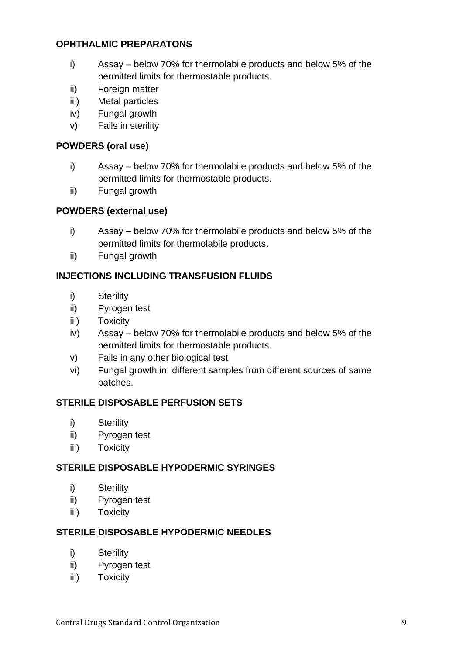#### **OPHTHALMIC PREPARATONS**

- i) Assay below 70% for thermolabile products and below 5% of the permitted limits for thermostable products.
- ii) Foreign matter
- iii) Metal particles
- iv) Fungal growth
- v) Fails in sterility

#### **POWDERS (oral use)**

- i) Assay below 70% for thermolabile products and below 5% of the permitted limits for thermostable products.
- ii) Fungal growth

#### **POWDERS (external use)**

- i) Assay below 70% for thermolabile products and below 5% of the permitted limits for thermolabile products.
- ii) Fungal growth

### **INJECTIONS INCLUDING TRANSFUSION FLUIDS**

- i) Sterility
- ii) Pyrogen test
- iii) Toxicity
- iv) Assay below 70% for thermolabile products and below 5% of the permitted limits for thermostable products.
- v) Fails in any other biological test
- vi) Fungal growth in different samples from different sources of same batches.

#### **STERILE DISPOSABLE PERFUSION SETS**

- i) Sterility
- ii) Pyrogen test
- iii) Toxicity

#### **STERILE DISPOSABLE HYPODERMIC SYRINGES**

- i) Sterility
- ii) Pyrogen test
- iii) Toxicity

#### **STERILE DISPOSABLE HYPODERMIC NEEDLES**

- i) Sterility
- ii) Pyrogen test
- iii) Toxicity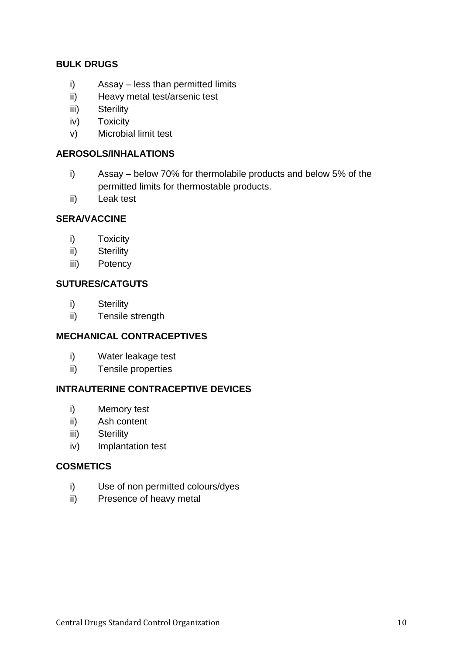#### **BULK DRUGS**

- i) Assay less than permitted limits
- ii) Heavy metal test/arsenic test
- iii) Sterility
- iv) Toxicity
- v) Microbial limit test

#### **AEROSOLS/INHALATIONS**

- i) Assay below 70% for thermolabile products and below 5% of the permitted limits for thermostable products.
- ii) Leak test

### **SERA/VACCINE**

- i) Toxicity
- ii) Sterility
- iii) Potency

#### **SUTURES/CATGUTS**

- i) Sterility
- ii) Tensile strength

### **MECHANICAL CONTRACEPTIVES**

- i) Water leakage test
- ii) Tensile properties

### **INTRAUTERINE CONTRACEPTIVE DEVICES**

- i) Memory test
- ii) Ash content
- iii) Sterility
- iv) Implantation test

#### **COSMETICS**

- i) Use of non permitted colours/dyes
- ii) Presence of heavy metal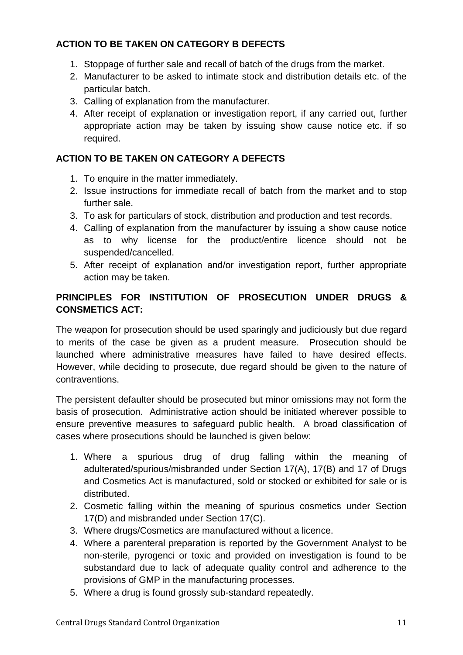# **ACTION TO BE TAKEN ON CATEGORY B DEFECTS**

- 1. Stoppage of further sale and recall of batch of the drugs from the market.
- 2. Manufacturer to be asked to intimate stock and distribution details etc. of the particular batch.
- 3. Calling of explanation from the manufacturer.
- 4. After receipt of explanation or investigation report, if any carried out, further appropriate action may be taken by issuing show cause notice etc. if so required.

### **ACTION TO BE TAKEN ON CATEGORY A DEFECTS**

- 1. To enquire in the matter immediately.
- 2. Issue instructions for immediate recall of batch from the market and to stop further sale.
- 3. To ask for particulars of stock, distribution and production and test records.
- 4. Calling of explanation from the manufacturer by issuing a show cause notice as to why license for the product/entire licence should not be suspended/cancelled.
- 5. After receipt of explanation and/or investigation report, further appropriate action may be taken.

# **PRINCIPLES FOR INSTITUTION OF PROSECUTION UNDER DRUGS & CONSMETICS ACT:**

The weapon for prosecution should be used sparingly and judiciously but due regard to merits of the case be given as a prudent measure. Prosecution should be launched where administrative measures have failed to have desired effects. However, while deciding to prosecute, due regard should be given to the nature of contraventions.

The persistent defaulter should be prosecuted but minor omissions may not form the basis of prosecution. Administrative action should be initiated wherever possible to ensure preventive measures to safeguard public health. A broad classification of cases where prosecutions should be launched is given below:

- 1. Where a spurious drug of drug falling within the meaning of adulterated/spurious/misbranded under Section 17(A), 17(B) and 17 of Drugs and Cosmetics Act is manufactured, sold or stocked or exhibited for sale or is distributed.
- 2. Cosmetic falling within the meaning of spurious cosmetics under Section 17(D) and misbranded under Section 17(C).
- 3. Where drugs/Cosmetics are manufactured without a licence.
- 4. Where a parenteral preparation is reported by the Government Analyst to be non-sterile, pyrogenci or toxic and provided on investigation is found to be substandard due to lack of adequate quality control and adherence to the provisions of GMP in the manufacturing processes.
- 5. Where a drug is found grossly sub-standard repeatedly.